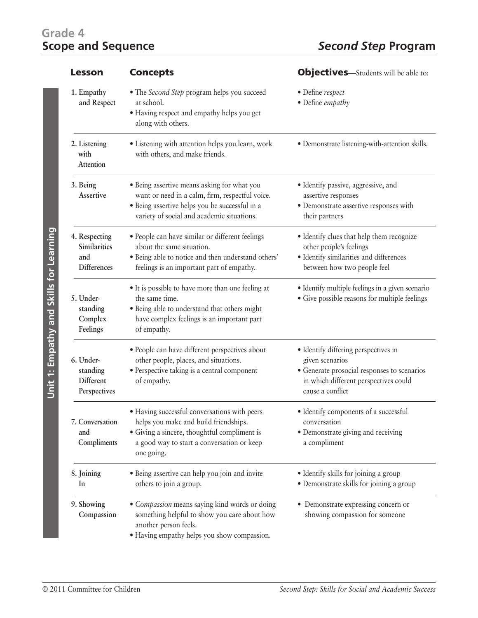## Grade 4<br>**Scope and Sequence**

| <b>Lesson</b>                                              | <b>Concepts</b>                                                                                                                                                                                   | <b>Objectives</b> —Students will be able to:                                                                                                                        |
|------------------------------------------------------------|---------------------------------------------------------------------------------------------------------------------------------------------------------------------------------------------------|---------------------------------------------------------------------------------------------------------------------------------------------------------------------|
| 1. Empathy<br>and Respect                                  | • The Second Step program helps you succeed<br>at school.<br>· Having respect and empathy helps you get<br>along with others.                                                                     | • Define respect<br>• Define empathy                                                                                                                                |
| 2. Listening<br>with<br>Attention                          | · Listening with attention helps you learn, work<br>with others, and make friends.                                                                                                                | · Demonstrate listening-with-attention skills.                                                                                                                      |
| 3. Being<br>Assertive                                      | • Being assertive means asking for what you<br>want or need in a calm, firm, respectful voice.<br>· Being assertive helps you be successful in a<br>variety of social and academic situations.    | · Identify passive, aggressive, and<br>assertive responses<br>· Demonstrate assertive responses with<br>their partners                                              |
| 4. Respecting<br>Similarities<br>and<br><b>Differences</b> | · People can have similar or different feelings<br>about the same situation.<br>· Being able to notice and then understand others'<br>feelings is an important part of empathy.                   | · Identify clues that help them recognize<br>other people's feelings<br>· Identify similarities and differences<br>between how two people feel                      |
| 5. Under-<br>standing<br>Complex<br>Feelings               | • It is possible to have more than one feeling at<br>the same time.<br>· Being able to understand that others might<br>have complex feelings is an important part<br>of empathy.                  | · Identify multiple feelings in a given scenario<br>• Give possible reasons for multiple feelings                                                                   |
| 6. Under-<br>standing<br>Different<br>Perspectives         | · People can have different perspectives about<br>other people, places, and situations.<br>· Perspective taking is a central component<br>of empathy.                                             | • Identify differing perspectives in<br>given scenarios<br>• Generate prosocial responses to scenarios<br>in which different perspectives could<br>cause a conflict |
| 7. Conversation<br>and<br>Compliments                      | · Having successful conversations with peers<br>helps you make and build friendships.<br>• Giving a sincere, thoughtful compliment is<br>a good way to start a conversation or keep<br>one going. | · Identify components of a successful<br>conversation<br>• Demonstrate giving and receiving<br>a compliment                                                         |
| 8. Joining<br>In                                           | · Being assertive can help you join and invite<br>others to join a group.                                                                                                                         | • Identify skills for joining a group<br>• Demonstrate skills for joining a group                                                                                   |
| 9. Showing<br>Compassion                                   | • Compassion means saying kind words or doing<br>something helpful to show you care about how<br>another person feels.<br>· Having empathy helps you show compassion.                             | • Demonstrate expressing concern or<br>showing compassion for someone                                                                                               |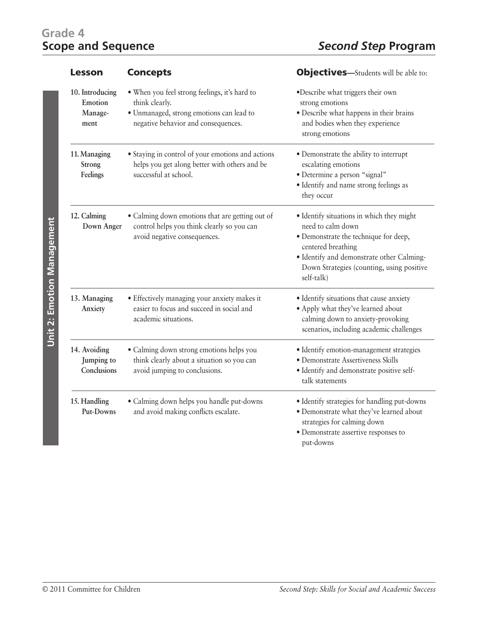## Grade 4<br>**Scope and Sequence**

| Lesson                                        | <b>Concepts</b>                                                                                                                                    | <b>Objectives</b> —Students will be able to:                                                                                                                                                                                          |
|-----------------------------------------------|----------------------------------------------------------------------------------------------------------------------------------------------------|---------------------------------------------------------------------------------------------------------------------------------------------------------------------------------------------------------------------------------------|
| 10. Introducing<br>Emotion<br>Manage-<br>ment | . When you feel strong feelings, it's hard to<br>think clearly.<br>· Unmanaged, strong emotions can lead to<br>negative behavior and consequences. | ·Describe what triggers their own<br>strong emotions<br>· Describe what happens in their brains<br>and bodies when they experience<br>strong emotions                                                                                 |
| 11. Managing<br>Strong<br>Feelings            | · Staying in control of your emotions and actions<br>helps you get along better with others and be<br>successful at school.                        | • Demonstrate the ability to interrupt<br>escalating emotions<br>· Determine a person "signal"<br>· Identify and name strong feelings as<br>they occur                                                                                |
| 12. Calming<br>Down Anger                     | • Calming down emotions that are getting out of<br>control helps you think clearly so you can<br>avoid negative consequences.                      | • Identify situations in which they might<br>need to calm down<br>· Demonstrate the technique for deep,<br>centered breathing<br>· Identify and demonstrate other Calming-<br>Down Strategies (counting, using positive<br>self-talk) |
| 13. Managing<br>Anxiety                       | · Effectively managing your anxiety makes it<br>easier to focus and succeed in social and<br>academic situations.                                  | · Identify situations that cause anxiety<br>· Apply what they've learned about<br>calming down to anxiety-provoking<br>scenarios, including academic challenges                                                                       |
| 14. Avoiding<br>Jumping to<br>Conclusions     | · Calming down strong emotions helps you<br>think clearly about a situation so you can<br>avoid jumping to conclusions.                            | · Identify emotion-management strategies<br>· Demonstrate Assertiveness Skills<br>· Identify and demonstrate positive self-<br>talk statements                                                                                        |
| 15. Handling<br>Put-Downs                     | · Calming down helps you handle put-downs<br>and avoid making conflicts escalate.                                                                  | · Identify strategies for handling put-downs<br>· Demonstrate what they've learned about<br>strategies for calming down<br>· Demonstrate assertive responses to<br>put-downs                                                          |